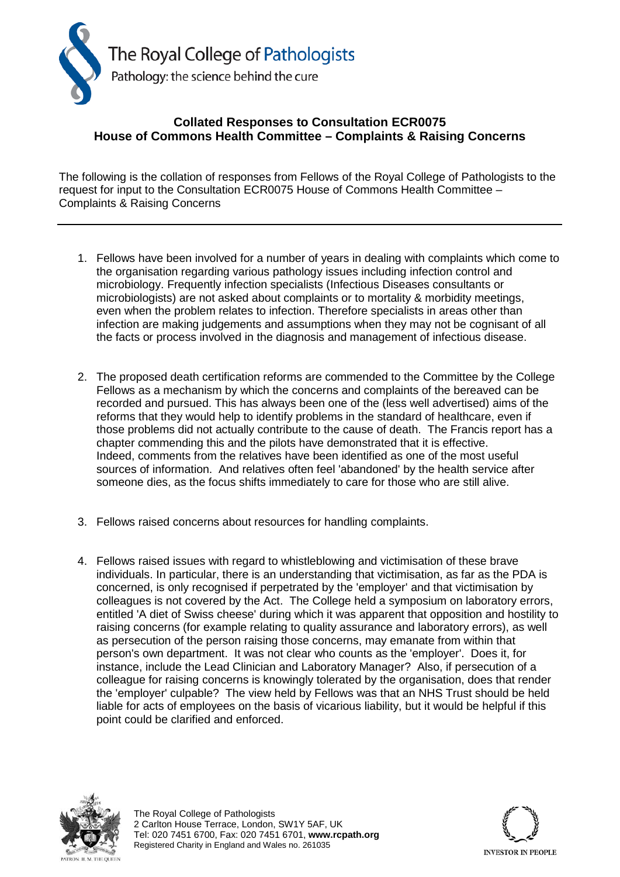

## **Collated Responses to Consultation ECR0075 House of Commons Health Committee – Complaints & Raising Concerns**

The following is the collation of responses from Fellows of the Royal College of Pathologists to the request for input to the Consultation ECR0075 House of Commons Health Committee – Complaints & Raising Concerns

- 1. Fellows have been involved for a number of years in dealing with complaints which come to the organisation regarding various pathology issues including infection control and microbiology. Frequently infection specialists (Infectious Diseases consultants or microbiologists) are not asked about complaints or to mortality & morbidity meetings, even when the problem relates to infection. Therefore specialists in areas other than infection are making judgements and assumptions when they may not be cognisant of all the facts or process involved in the diagnosis and management of infectious disease.
- 2. The proposed death certification reforms are commended to the Committee by the College Fellows as a mechanism by which the concerns and complaints of the bereaved can be recorded and pursued. This has always been one of the (less well advertised) aims of the reforms that they would help to identify problems in the standard of healthcare, even if those problems did not actually contribute to the cause of death. The Francis report has a chapter commending this and the pilots have demonstrated that it is effective. Indeed, comments from the relatives have been identified as one of the most useful sources of information. And relatives often feel 'abandoned' by the health service after someone dies, as the focus shifts immediately to care for those who are still alive.
- 3. Fellows raised concerns about resources for handling complaints.
- 4. Fellows raised issues with regard to whistleblowing and victimisation of these brave individuals. In particular, there is an understanding that victimisation, as far as the PDA is concerned, is only recognised if perpetrated by the 'employer' and that victimisation by colleagues is not covered by the Act. The College held a symposium on laboratory errors, entitled 'A diet of Swiss cheese' during which it was apparent that opposition and hostility to raising concerns (for example relating to quality assurance and laboratory errors), as well as persecution of the person raising those concerns, may emanate from within that person's own department. It was not clear who counts as the 'employer'. Does it, for instance, include the Lead Clinician and Laboratory Manager? Also, if persecution of a colleague for raising concerns is knowingly tolerated by the organisation, does that render the 'employer' culpable? The view held by Fellows was that an NHS Trust should be held liable for acts of employees on the basis of vicarious liability, but it would be helpful if this point could be clarified and enforced.



The Royal College of Pathologists 2 Carlton House Terrace, London, SW1Y 5AF, UK Tel: 020 7451 6700, Fax: 020 7451 6701, **www.rcpath.org** Registered Charity in England and Wales no. 261035